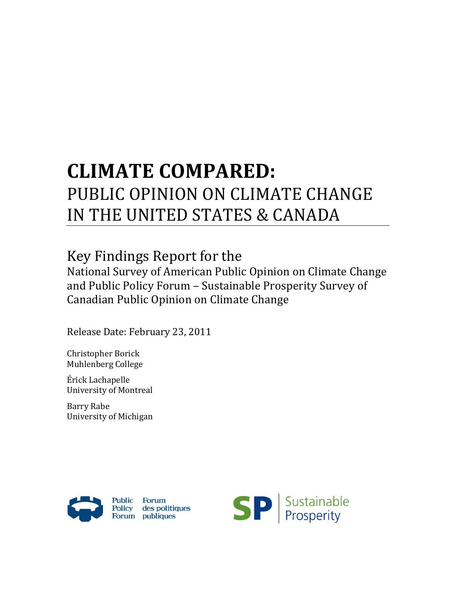# CLIMATE COMPARED: PUBLIC OPINION ON CLIMATE CHANGE IN THE UNITED STATES & CANADA

# Key Findings Report for the

National Survey of American Public Opinion on Climate Change and Public Policy Forum – Sustainable Prosperity Survey of Canadian Public Opinion on Climate Change

Release Date: February 23, 2011

Christopher Borick Muhlenberg College

Érick Lachapelle University of Montreal

Barry Rabe University of Michigan



Public Forum Policy des politiques<br>Forum publiques

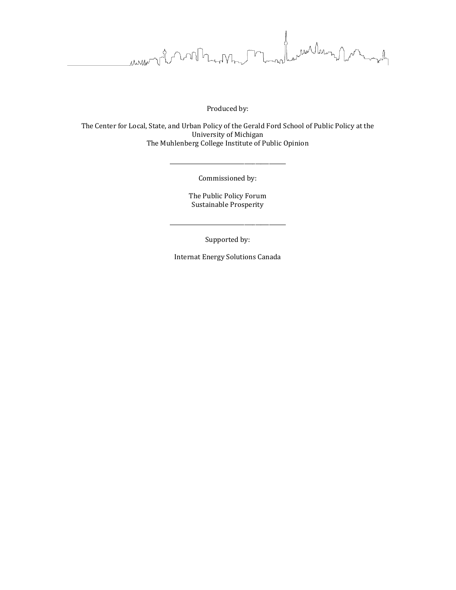Jeanuar Mary James MARTIN

Produced by:

The Center for Local, State, and Urban Policy of the Gerald Ford School of Public Policy at the University of Michigan The Muhlenberg College Institute of Public Opinion

Commissioned by:

\_\_\_\_\_\_\_\_\_\_\_\_\_\_\_\_\_\_\_\_\_\_\_\_\_\_\_\_\_\_\_\_\_\_\_\_\_\_\_\_\_\_

The Public Policy Forum Sustainable Prosperity

Supported by:

\_\_\_\_\_\_\_\_\_\_\_\_\_\_\_\_\_\_\_\_\_\_\_\_\_\_\_\_\_\_\_\_\_\_\_\_\_\_\_\_\_\_

Internat Energy Solutions Canada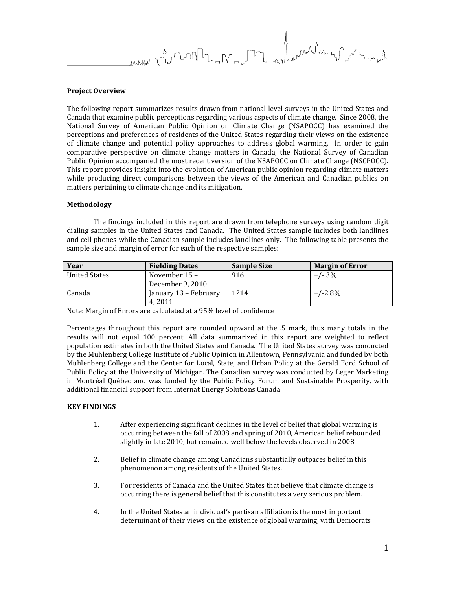ran Mars 1 Inn h

# Project Overview

The following report summarizes results drawn from national level surveys in the United States and Canada that examine public perceptions regarding various aspects of climate change. Since 2008, the National Survey of American Public Opinion on Climate Change (NSAPOCC) has examined the perceptions and preferences of residents of the United States regarding their views on the existence of climate change and potential policy approaches to address global warming. In order to gain comparative perspective on climate change matters in Canada, the National Survey of Canadian Public Opinion accompanied the most recent version of the NSAPOCC on Climate Change (NSCPOCC). This report provides insight into the evolution of American public opinion regarding climate matters while producing direct comparisons between the views of the American and Canadian publics on matters pertaining to climate change and its mitigation.

# Methodology

The findings included in this report are drawn from telephone surveys using random digit dialing samples in the United States and Canada. The United States sample includes both landlines and cell phones while the Canadian sample includes landlines only. The following table presents the sample size and margin of error for each of the respective samples:

| Year          | <b>Fielding Dates</b> | <b>Sample Size</b> | <b>Margin of Error</b> |
|---------------|-----------------------|--------------------|------------------------|
| United States | November $15 -$       | 916                | $+/- 3\%$              |
|               | December 9, 2010      |                    |                        |
| Canada        | January 13 – February | 1214               | $+/-2.8\%$             |
|               | 4.2011                |                    |                        |

Note: Margin of Errors are calculated at a 95% level of confidence

Percentages throughout this report are rounded upward at the .5 mark, thus many totals in the results will not equal 100 percent. All data summarized in this report are weighted to reflect population estimates in both the United States and Canada. The United States survey was conducted by the Muhlenberg College Institute of Public Opinion in Allentown, Pennsylvania and funded by both Muhlenberg College and the Center for Local, State, and Urban Policy at the Gerald Ford School of Public Policy at the University of Michigan. The Canadian survey was conducted by Leger Marketing in Montréal Québec and was funded by the Public Policy Forum and Sustainable Prosperity, with additional financial support from Internat Energy Solutions Canada.

# KEY FINDINGS

- 1. After experiencing significant declines in the level of belief that global warming is occurring between the fall of 2008 and spring of 2010, American belief rebounded slightly in late 2010, but remained well below the levels observed in 2008.
- 2. Belief in climate change among Canadians substantially outpaces belief in this phenomenon among residents of the United States.
- 3. For residents of Canada and the United States that believe that climate change is occurring there is general belief that this constitutes a very serious problem.
- 4. In the United States an individual's partisan affiliation is the most important determinant of their views on the existence of global warming, with Democrats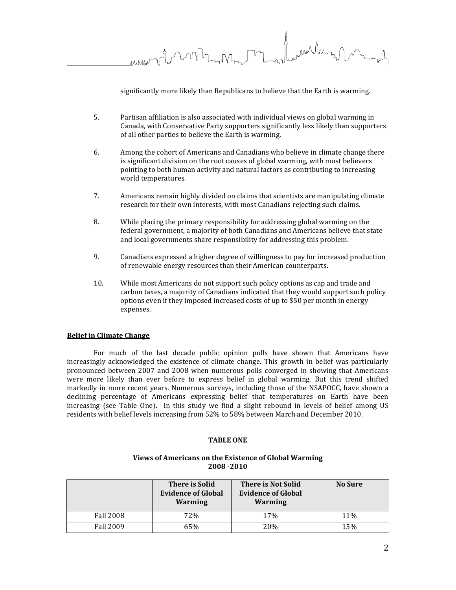ran Maron mmor vil month

significantly more likely than Republicans to believe that the Earth is warming.

- 5. Partisan affiliation is also associated with individual views on global warming in Canada, with Conservative Party supporters significantly less likely than supporters of all other parties to believe the Earth is warming.
- 6. Among the cohort of Americans and Canadians who believe in climate change there is significant division on the root causes of global warming, with most believers pointing to both human activity and natural factors as contributing to increasing world temperatures.
- 7. Americans remain highly divided on claims that scientists are manipulating climate research for their own interests, with most Canadians rejecting such claims.
- 8. While placing the primary responsibility for addressing global warming on the federal government, a majority of both Canadians and Americans believe that state and local governments share responsibility for addressing this problem.
- 9. Canadians expressed a higher degree of willingness to pay for increased production of renewable energy resources than their American counterparts.
- 10. While most Americans do not support such policy options as cap and trade and carbon taxes, a majority of Canadians indicated that they would support such policy options even if they imposed increased costs of up to \$50 per month in energy expenses.

# Belief in Climate Change

 For much of the last decade public opinion polls have shown that Americans have increasingly acknowledged the existence of climate change. This growth in belief was particularly pronounced between 2007 and 2008 when numerous polls converged in showing that Americans were more likely than ever before to express belief in global warming. But this trend shifted markedly in more recent years. Numerous surveys, including those of the NSAPOCC, have shown a declining percentage of Americans expressing belief that temperatures on Earth have been increasing (see Table One). In this study we find a slight rebound in levels of belief among US residents with belief levels increasing from 52% to 58% between March and December 2010.

# TABLE ONE

# Views of Americans on the Existence of Global Warming 2008 -2010

|                  | <b>There is Solid</b><br><b>Evidence of Global</b><br>Warming | <b>There is Not Solid</b><br><b>Evidence of Global</b><br>Warming | <b>No Sure</b> |
|------------------|---------------------------------------------------------------|-------------------------------------------------------------------|----------------|
| <b>Fall 2008</b> | 72%                                                           | 17%                                                               | 11%            |
| <b>Fall 2009</b> | 65%                                                           | 20%                                                               | 15%            |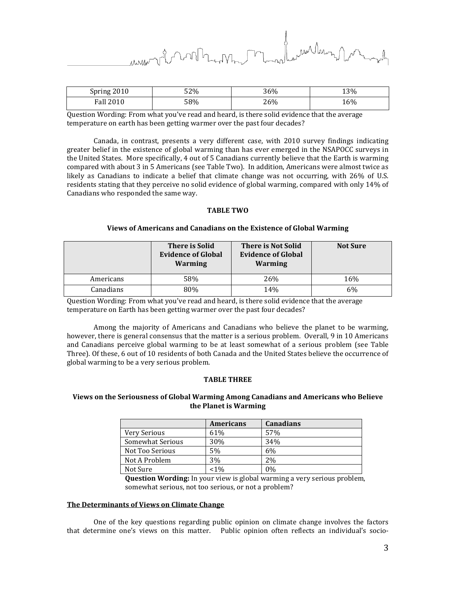ran Mars

| Spring 2010      | 52% | 36% | 13% |
|------------------|-----|-----|-----|
| <b>Fall 2010</b> | 58% | 26% | 16% |

Question Wording: From what you've read and heard, is there solid evidence that the average temperature on earth has been getting warmer over the past four decades?

 Canada, in contrast, presents a very different case, with 2010 survey findings indicating greater belief in the existence of global warming than has ever emerged in the NSAPOCC surveys in the United States. More specifically, 4 out of 5 Canadians currently believe that the Earth is warming compared with about 3 in 5 Americans (see Table Two). In addition, Americans were almost twice as likely as Canadians to indicate a belief that climate change was not occurring, with 26% of U.S. residents stating that they perceive no solid evidence of global warming, compared with only 14% of Canadians who responded the same way.

# TABLE TWO

# Views of Americans and Canadians on the Existence of Global Warming

|           | <b>There is Solid</b><br><b>Evidence of Global</b><br>Warming | <b>There is Not Solid</b><br><b>Evidence of Global</b><br><b>Warming</b> | <b>Not Sure</b> |
|-----------|---------------------------------------------------------------|--------------------------------------------------------------------------|-----------------|
| Americans | 58%                                                           | 26%                                                                      | 16%             |
| Canadians | 80%                                                           | 14%                                                                      | 6%              |

Question Wording: From what you've read and heard, is there solid evidence that the average temperature on Earth has been getting warmer over the past four decades?

Among the majority of Americans and Canadians who believe the planet to be warming, however, there is general consensus that the matter is a serious problem. Overall, 9 in 10 Americans and Canadians perceive global warming to be at least somewhat of a serious problem (see Table Three). Of these, 6 out of 10 residents of both Canada and the United States believe the occurrence of global warming to be a very serious problem.

# TABLE THREE

# Views on the Seriousness of Global Warming Among Canadians and Americans who Believe the Planet is Warming

|                  | <b>Americans</b> | <b>Canadians</b> |
|------------------|------------------|------------------|
| Very Serious     | 61%              | 57%              |
| Somewhat Serious | 30%              | 34%              |
| Not Too Serious  | 5%               | 6%               |
| Not A Problem    | 3%               | 2%               |
| Not Sure         | $< 1\%$          | $0\%$            |

Question Wording: In your view is global warming a very serious problem, somewhat serious, not too serious, or not a problem?

# The Determinants of Views on Climate Change

 One of the key questions regarding public opinion on climate change involves the factors that determine one's views on this matter. Public opinion often reflects an individual's socio-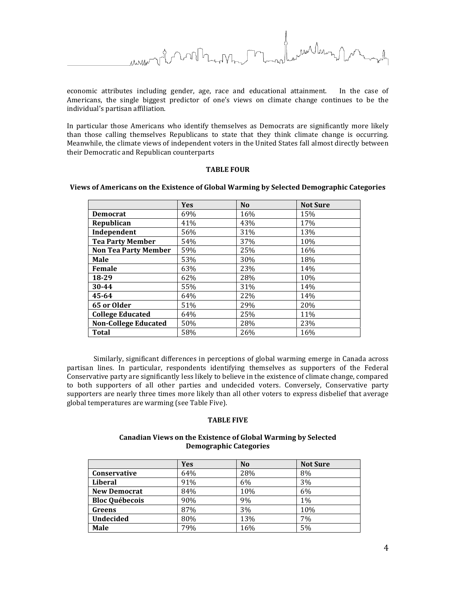mullann

economic attributes including gender, age, race and educational attainment. In the case of Americans, the single biggest predictor of one's views on climate change continues to be the individual's partisan affiliation.

In particular those Americans who identify themselves as Democrats are significantly more likely than those calling themselves Republicans to state that they think climate change is occurring. Meanwhile, the climate views of independent voters in the United States fall almost directly between their Democratic and Republican counterparts

# TABLE FOUR

|                             | Yes | N <sub>o</sub> | <b>Not Sure</b> |
|-----------------------------|-----|----------------|-----------------|
| <b>Democrat</b>             | 69% | 16%            | 15%             |
| Republican                  | 41% | 43%            | 17%             |
| Independent                 | 56% | 31%            | 13%             |
| <b>Tea Party Member</b>     | 54% | 37%            | 10%             |
| <b>Non Tea Party Member</b> | 59% | 25%            | 16%             |
| Male                        | 53% | 30%            | 18%             |
| Female                      | 63% | 23%            | 14%             |
| 18-29                       | 62% | 28%            | 10%             |
| 30-44                       | 55% | 31%            | 14%             |
| 45-64                       | 64% | 22%            | 14%             |
| 65 or Older                 | 51% | 29%            | 20%             |
| <b>College Educated</b>     | 64% | 25%            | 11%             |
| <b>Non-College Educated</b> | 50% | 28%            | 23%             |
| Total                       | 58% | 26%            | 16%             |

# Views of Americans on the Existence of Global Warming by Selected Demographic Categories

Similarly, significant differences in perceptions of global warming emerge in Canada across partisan lines. In particular, respondents identifying themselves as supporters of the Federal Conservative party are significantly less likely to believe in the existence of climate change, compared to both supporters of all other parties and undecided voters. Conversely, Conservative party supporters are nearly three times more likely than all other voters to express disbelief that average global temperatures are warming (see Table Five).

# TABLE FIVE

# Canadian Views on the Existence of Global Warming by Selected Demographic Categories

|                       | <b>Yes</b> | N <sub>0</sub> | <b>Not Sure</b> |
|-----------------------|------------|----------------|-----------------|
| <b>Conservative</b>   | 64%        | 28%            | 8%              |
| Liberal               | 91%        | 6%             | 3%              |
| <b>New Democrat</b>   | 84%        | 10%            | 6%              |
| <b>Bloc Québecois</b> | 90%        | 9%             | $1\%$           |
| Greens                | 87%        | 3%             | 10%             |
| <b>Undecided</b>      | 80%        | 13%            | 7%              |
| <b>Male</b>           | 79%        | 16%            | 5%              |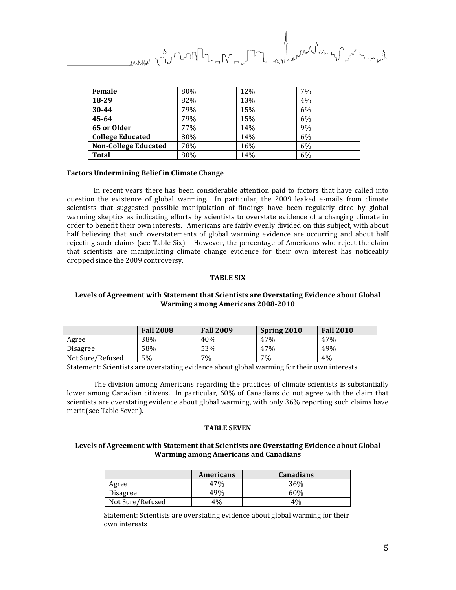ran Marson nt runn

| Female                      | 80% | 12% | 7% |
|-----------------------------|-----|-----|----|
| 18-29                       | 82% | 13% | 4% |
| 30-44                       | 79% | 15% | 6% |
| 45-64                       | 79% | 15% | 6% |
| 65 or Older                 | 77% | 14% | 9% |
| <b>College Educated</b>     | 80% | 14% | 6% |
| <b>Non-College Educated</b> | 78% | 16% | 6% |
| <b>Total</b>                | 80% | 14% | 6% |

#### Factors Undermining Belief in Climate Change

 In recent years there has been considerable attention paid to factors that have called into question the existence of global warming. In particular, the 2009 leaked e-mails from climate scientists that suggested possible manipulation of findings have been regularly cited by global warming skeptics as indicating efforts by scientists to overstate evidence of a changing climate in order to benefit their own interests. Americans are fairly evenly divided on this subject, with about half believing that such overstatements of global warming evidence are occurring and about half rejecting such claims (see Table Six). However, the percentage of Americans who reject the claim that scientists are manipulating climate change evidence for their own interest has noticeably dropped since the 2009 controversy.

# TABLE SIX

# Levels of Agreement with Statement that Scientists are Overstating Evidence about Global Warming among Americans 2008-2010

|                  | <b>Fall 2008</b> | <b>Fall 2009</b> | Spring 2010 | <b>Fall 2010</b> |
|------------------|------------------|------------------|-------------|------------------|
| Agree            | 38%              | 40%              | 47%         | 47%              |
| <b>Disagree</b>  | 58%              | 53%              | 47%         | 49%              |
| Not Sure/Refused | 5%               | 7%               | 7%          | 4%               |

Statement: Scientists are overstating evidence about global warming for their own interests

 The division among Americans regarding the practices of climate scientists is substantially lower among Canadian citizens. In particular, 60% of Canadians do not agree with the claim that scientists are overstating evidence about global warming, with only 36% reporting such claims have merit (see Table Seven).

#### TABLE SEVEN

# Levels of Agreement with Statement that Scientists are Overstating Evidence about Global Warming among Americans and Canadians

|                  | <b>Americans</b> | <b>Canadians</b> |
|------------------|------------------|------------------|
| Agree            | 47%              | 36%              |
| Disagree         | 49%              | 60%              |
| Not Sure/Refused | 4%               | 4%               |

Statement: Scientists are overstating evidence about global warming for their own interests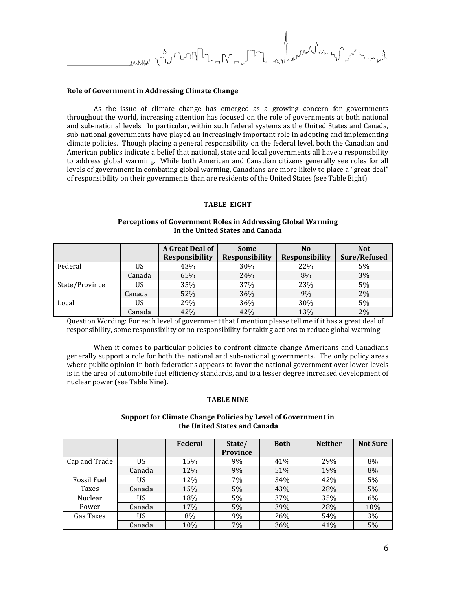ran Maron

# Role of Government in Addressing Climate Change

 As the issue of climate change has emerged as a growing concern for governments throughout the world, increasing attention has focused on the role of governments at both national and sub-national levels. In particular, within such federal systems as the United States and Canada, sub-national governments have played an increasingly important role in adopting and implementing climate policies. Though placing a general responsibility on the federal level, both the Canadian and American publics indicate a belief that national, state and local governments all have a responsibility to address global warming. While both American and Canadian citizens generally see roles for all levels of government in combating global warming, Canadians are more likely to place a "great deal" of responsibility on their governments than are residents of the United States (see Table Eight).

# TABLE EIGHT

# Perceptions of Government Roles in Addressing Global Warming In the United States and Canada

|                |        | A Great Deal of       | <b>Some</b>           | No                    | <b>Not</b>   |
|----------------|--------|-----------------------|-----------------------|-----------------------|--------------|
|                |        | <b>Responsibility</b> | <b>Responsibility</b> | <b>Responsibility</b> | Sure/Refused |
| Federal        | US     | 43%                   | 30%                   | 22%                   | 5%           |
|                | Canada | 65%                   | 24%                   | 8%                    | 3%           |
| State/Province | US     | 35%                   | 37%                   | 23%                   | 5%           |
|                | Canada | 52%                   | 36%                   | 9%                    | 2%           |
| Local          | US     | 29%                   | 36%                   | 30%                   | 5%           |
|                | Canada | 42%                   | 42%                   | 13%                   | 2%           |

Question Wording: For each level of government that I mention please tell me if it has a great deal of responsibility, some responsibility or no responsibility for taking actions to reduce global warming

 When it comes to particular policies to confront climate change Americans and Canadians generally support a role for both the national and sub-national governments. The only policy areas where public opinion in both federations appears to favor the national government over lower levels is in the area of automobile fuel efficiency standards, and to a lesser degree increased development of nuclear power (see Table Nine).

# TABLE NINE

# Support for Climate Change Policies by Level of Government in the United States and Canada

|               |        | Federal | State/          | <b>Both</b> | <b>Neither</b> | <b>Not Sure</b> |
|---------------|--------|---------|-----------------|-------------|----------------|-----------------|
|               |        |         | <b>Province</b> |             |                |                 |
| Cap and Trade | US     | 15%     | 9%              | 41%         | 29%            | 8%              |
|               | Canada | 12%     | 9%              | 51%         | 19%            | 8%              |
| Fossil Fuel   | US     | 12%     | 7%              | 34%         | 42%            | 5%              |
| Taxes         | Canada | 15%     | 5%              | 43%         | 28%            | 5%              |
| Nuclear       | US     | 18%     | 5%              | 37%         | 35%            | 6%              |
| Power         | Canada | 17%     | 5%              | 39%         | 28%            | 10%             |
| Gas Taxes     | US     | 8%      | 9%              | 26%         | 54%            | 3%              |
|               | Canada | 10%     | 7%              | 36%         | 41%            | 5%              |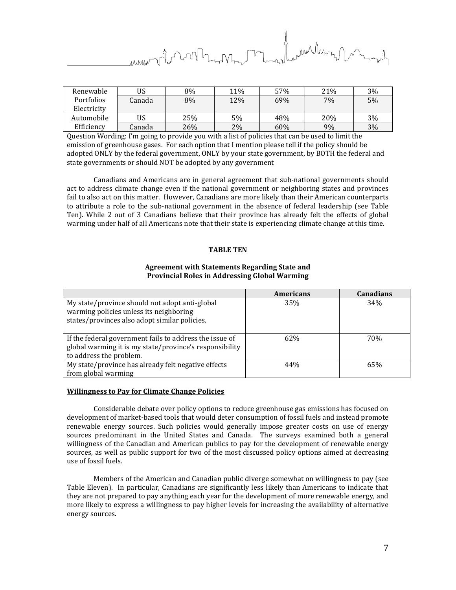ran Marny Jam nt north

| Renewable   | US     | 8%  | 11% | 57% | 21% | 3% |
|-------------|--------|-----|-----|-----|-----|----|
| Portfolios  | Canada | 8%  | 12% | 69% | 7%  | 5% |
| Electricity |        |     |     |     |     |    |
| Automobile  | US     | 25% | 5%  | 48% | 20% | 3% |
| Efficiency  | Canada | 26% | 2%  | 60% | 9%  | 3% |

Question Wording: I'm going to provide you with a list of policies that can be used to limit the emission of greenhouse gases. For each option that I mention please tell if the policy should be adopted ONLY by the federal government, ONLY by your state government, by BOTH the federal and state governments or should NOT be adopted by any government

 Canadians and Americans are in general agreement that sub-national governments should act to address climate change even if the national government or neighboring states and provinces fail to also act on this matter. However, Canadians are more likely than their American counterparts to attribute a role to the sub-national government in the absence of federal leadership (see Table Ten). While 2 out of 3 Canadians believe that their province has already felt the effects of global warming under half of all Americans note that their state is experiencing climate change at this time.

# TABLE TEN

# Agreement with Statements Regarding State and Provincial Roles in Addressing Global Warming

|                                                                                                                                               | <b>Americans</b> | <b>Canadians</b> |
|-----------------------------------------------------------------------------------------------------------------------------------------------|------------------|------------------|
| My state/province should not adopt anti-global<br>warming policies unless its neighboring<br>states/provinces also adopt similar policies.    | 35%              | 34%              |
| If the federal government fails to address the issue of<br>global warming it is my state/province's responsibility<br>to address the problem. | 62\%             | 70%              |
| My state/province has already felt negative effects<br>from global warming                                                                    | 44%              | 65%              |

# Willingness to Pay for Climate Change Policies

 Considerable debate over policy options to reduce greenhouse gas emissions has focused on development of market-based tools that would deter consumption of fossil fuels and instead promote renewable energy sources. Such policies would generally impose greater costs on use of energy sources predominant in the United States and Canada. The surveys examined both a general willingness of the Canadian and American publics to pay for the development of renewable energy sources, as well as public support for two of the most discussed policy options aimed at decreasing use of fossil fuels.

 Members of the American and Canadian public diverge somewhat on willingness to pay (see Table Eleven). In particular, Canadians are significantly less likely than Americans to indicate that they are not prepared to pay anything each year for the development of more renewable energy, and more likely to express a willingness to pay higher levels for increasing the availability of alternative energy sources.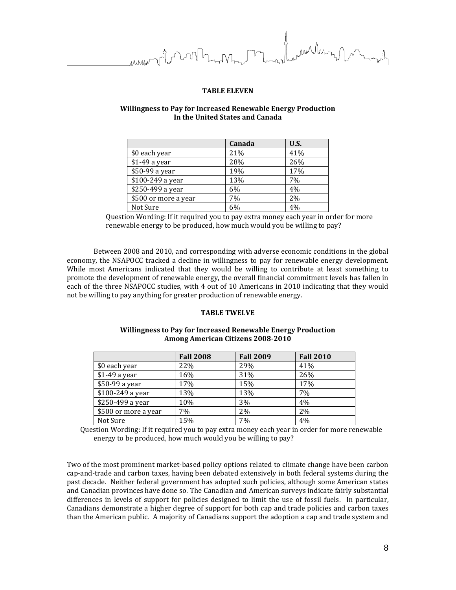ran Marny form

# TABLE ELEVEN

# Willingness to Pay for Increased Renewable Energy Production In the United States and Canada

|                      | Canada | <b>U.S.</b> |
|----------------------|--------|-------------|
| \$0 each year        | 21%    | 41%         |
| \$1-49 a year        | 28%    | 26%         |
| \$50-99 a year       | 19%    | 17%         |
| \$100-249 a year     | 13%    | 7%          |
| \$250-499 a year     | 6%     | 4%          |
| \$500 or more a year | 7%     | 2%          |
| Not Sure             | 6%     | 4%          |

Question Wording: If it required you to pay extra money each year in order for more renewable energy to be produced, how much would you be willing to pay?

Between 2008 and 2010, and corresponding with adverse economic conditions in the global economy, the NSAPOCC tracked a decline in willingness to pay for renewable energy development. While most Americans indicated that they would be willing to contribute at least something to promote the development of renewable energy, the overall financial commitment levels has fallen in each of the three NSAPOCC studies, with 4 out of 10 Americans in 2010 indicating that they would not be willing to pay anything for greater production of renewable energy.

# TABLE TWELVE

# Willingness to Pay for Increased Renewable Energy Production Among American Citizens 2008-2010

|                      | <b>Fall 2008</b> | <b>Fall 2009</b> | <b>Fall 2010</b> |
|----------------------|------------------|------------------|------------------|
| \$0 each year        | 22%              | 29%              | 41%              |
| $$1-49$ a year       | 16%              | 31%              | 26%              |
| \$50-99 a year       | 17%              | 15%              | 17%              |
| \$100-249 a year     | 13%              | 13%              | 7%               |
| \$250-499 a year     | 10%              | 3%               | 4%               |
| \$500 or more a year | 7%               | 2%               | 2%               |
| Not Sure             | 15%              | 7%               | 4%               |

Question Wording: If it required you to pay extra money each year in order for more renewable energy to be produced, how much would you be willing to pay?

Two of the most prominent market-based policy options related to climate change have been carbon cap-and-trade and carbon taxes, having been debated extensively in both federal systems during the past decade. Neither federal government has adopted such policies, although some American states and Canadian provinces have done so. The Canadian and American surveys indicate fairly substantial differences in levels of support for policies designed to limit the use of fossil fuels. In particular, Canadians demonstrate a higher degree of support for both cap and trade policies and carbon taxes than the American public. A majority of Canadians support the adoption a cap and trade system and